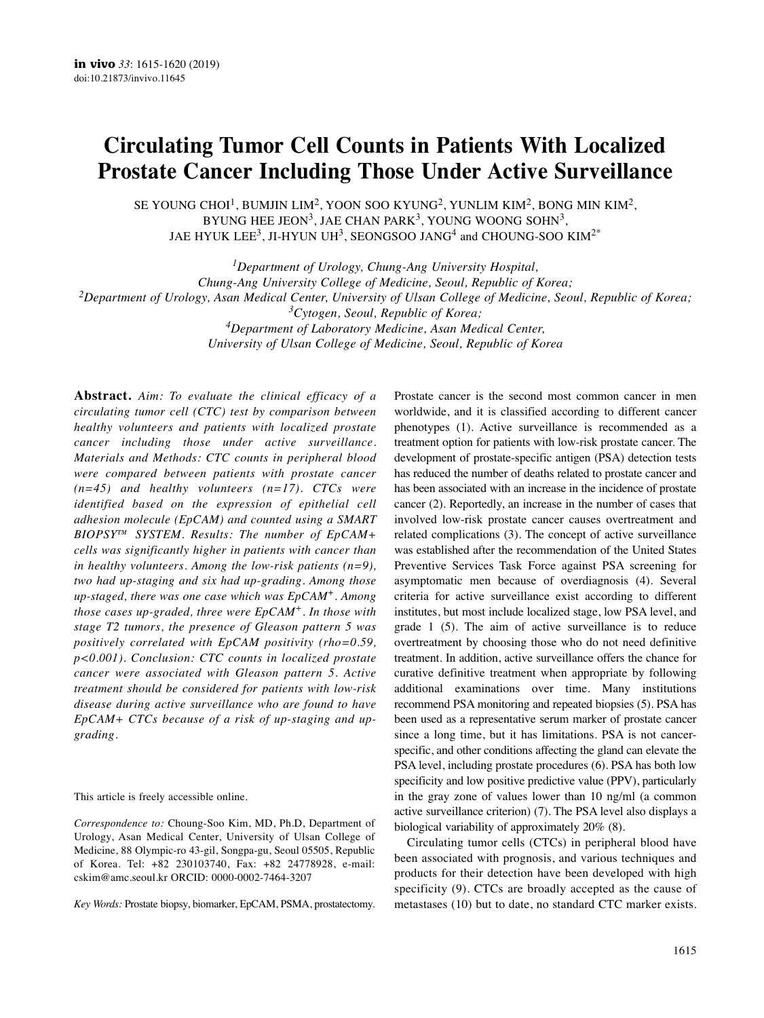# **Circulating Tumor Cell Counts in Patients With Localized Prostate Cancer Including Those Under Active Surveillance**

SE YOUNG CHOI $^1$ , BUMJIN LIM $^2$ , YOON SOO KYUNG $^2$ , YUNLIM KIM $^2$ , BONG MIN KIM $^2$ , BYUNG HEE JEON<sup>3</sup>, JAE CHAN PARK<sup>3</sup>, YOUNG WOONG SOHN<sup>3</sup>. JAE HYUK LEE<sup>3</sup>, JI-HYUN UH<sup>3</sup>, SEONGSOO JANG<sup>4</sup> and CHOUNG-SOO KIM<sup>2\*</sup>

*1Department of Urology, Chung-Ang University Hospital, Chung-Ang University College of Medicine, Seoul, Republic of Korea; 2Department of Urology, Asan Medical Center, University of Ulsan College of Medicine, Seoul, Republic of Korea; 3Cytogen, Seoul, Republic of Korea; 4Department of Laboratory Medicine, Asan Medical Center, University of Ulsan College of Medicine, Seoul, Republic of Korea*

**Abstract.** *Aim: To evaluate the clinical efficacy of a circulating tumor cell (CTC) test by comparison between healthy volunteers and patients with localized prostate cancer including those under active surveillance. Materials and Methods: CTC counts in peripheral blood were compared between patients with prostate cancer (n=45) and healthy volunteers (n=17). CTCs were identified based on the expression of epithelial cell adhesion molecule (EpCAM) and counted using a SMART BIOPSY™ SYSTEM. Results: The number of EpCAM+ cells was significantly higher in patients with cancer than in healthy volunteers. Among the low-risk patients (n=9), two had up-staging and six had up-grading. Among those up-staged, there was one case which was EpCAM+. Among those cases up-graded, three were EpCAM+. In those with stage T2 tumors, the presence of Gleason pattern 5 was positively correlated with EpCAM positivity (rho=0.59, p<0.001). Conclusion: CTC counts in localized prostate cancer were associated with Gleason pattern 5. Active treatment should be considered for patients with low-risk disease during active surveillance who are found to have EpCAM+ CTCs because of a risk of up-staging and upgrading.*

This article is freely accessible online.

*Correspondence to:* Choung-Soo Kim, MD, Ph.D, Department of Urology, Asan Medical Center, University of Ulsan College of Medicine, 88 Olympic-ro 43-gil, Songpa-gu, Seoul 05505, Republic of Korea. Tel: +82 230103740, Fax: +82 24778928, e-mail: cskim@amc.seoul.kr ORCID: 0000-0002-7464-3207

*Key Words:* Prostate biopsy, biomarker, EpCAM, PSMA, prostatectomy.

Prostate cancer is the second most common cancer in men worldwide, and it is classified according to different cancer phenotypes (1). Active surveillance is recommended as a treatment option for patients with low-risk prostate cancer. The development of prostate-specific antigen (PSA) detection tests has reduced the number of deaths related to prostate cancer and has been associated with an increase in the incidence of prostate cancer (2). Reportedly, an increase in the number of cases that involved low-risk prostate cancer causes overtreatment and related complications (3). The concept of active surveillance was established after the recommendation of the United States Preventive Services Task Force against PSA screening for asymptomatic men because of overdiagnosis (4). Several criteria for active surveillance exist according to different institutes, but most include localized stage, low PSA level, and grade 1 (5). The aim of active surveillance is to reduce overtreatment by choosing those who do not need definitive treatment. In addition, active surveillance offers the chance for curative definitive treatment when appropriate by following additional examinations over time. Many institutions recommend PSA monitoring and repeated biopsies (5). PSA has been used as a representative serum marker of prostate cancer since a long time, but it has limitations. PSA is not cancerspecific, and other conditions affecting the gland can elevate the PSA level, including prostate procedures (6). PSA has both low specificity and low positive predictive value (PPV), particularly in the gray zone of values lower than 10 ng/ml (a common active surveillance criterion) (7). The PSA level also displays a biological variability of approximately 20% (8).

Circulating tumor cells (CTCs) in peripheral blood have been associated with prognosis, and various techniques and products for their detection have been developed with high specificity (9). CTCs are broadly accepted as the cause of metastases (10) but to date, no standard CTC marker exists.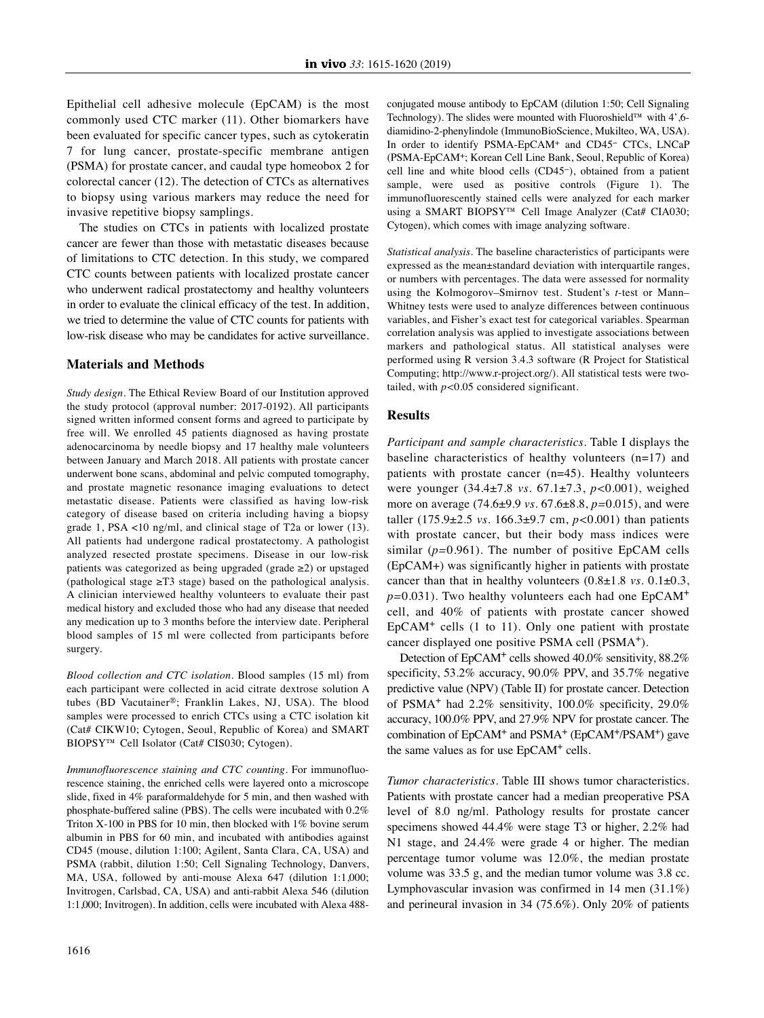Epithelial cell adhesive molecule (EpCAM) is the most commonly used CTC marker (11). Other biomarkers have been evaluated for specific cancer types, such as cytokeratin 7 for lung cancer, prostate-specific membrane antigen (PSMA) for prostate cancer, and caudal type homeobox 2 for colorectal cancer (12). The detection of CTCs as alternatives to biopsy using various markers may reduce the need for invasive repetitive biopsy samplings.

The studies on CTCs in patients with localized prostate cancer are fewer than those with metastatic diseases because of limitations to CTC detection. In this study, we compared CTC counts between patients with localized prostate cancer who underwent radical prostatectomy and healthy volunteers in order to evaluate the clinical efficacy of the test. In addition, we tried to determine the value of CTC counts for patients with low-risk disease who may be candidates for active surveillance.

## **Materials and Methods**

*Study design.* The Ethical Review Board of our Institution approved the study protocol (approval number: 2017-0192). All participants signed written informed consent forms and agreed to participate by free will. We enrolled 45 patients diagnosed as having prostate adenocarcinoma by needle biopsy and 17 healthy male volunteers between January and March 2018. All patients with prostate cancer underwent bone scans, abdominal and pelvic computed tomography, and prostate magnetic resonance imaging evaluations to detect metastatic disease. Patients were classified as having low-risk category of disease based on criteria including having a biopsy grade 1, PSA <10 ng/ml, and clinical stage of T2a or lower (13). All patients had undergone radical prostatectomy. A pathologist analyzed resected prostate specimens. Disease in our low-risk patients was categorized as being upgraded (grade ≥2) or upstaged (pathological stage ≥T3 stage) based on the pathological analysis. A clinician interviewed healthy volunteers to evaluate their past medical history and excluded those who had any disease that needed any medication up to 3 months before the interview date. Peripheral blood samples of 15 ml were collected from participants before surgery.

*Blood collection and CTC isolation*. Blood samples (15 ml) from each participant were collected in acid citrate dextrose solution A tubes (BD Vacutainer®; Franklin Lakes, NJ, USA). The blood samples were processed to enrich CTCs using a CTC isolation kit (Cat# CIKW10; Cytogen, Seoul, Republic of Korea) and SMART BIOPSY™ Cell Isolator (Cat# CIS030; Cytogen).

*Immunofluorescence staining and CTC counting.* For immunofluorescence staining, the enriched cells were layered onto a microscope slide, fixed in 4% paraformaldehyde for 5 min, and then washed with phosphate-buffered saline (PBS). The cells were incubated with 0.2% Triton X-100 in PBS for 10 min, then blocked with 1% bovine serum albumin in PBS for 60 min, and incubated with antibodies against CD45 (mouse, dilution 1:100; Agilent, Santa Clara, CA, USA) and PSMA (rabbit, dilution 1:50; Cell Signaling Technology, Danvers, MA, USA, followed by anti-mouse Alexa 647 (dilution 1:1,000; Invitrogen, Carlsbad, CA, USA) and anti-rabbit Alexa 546 (dilution 1:1,000; Invitrogen). In addition, cells were incubated with Alexa 488conjugated mouse antibody to EpCAM (dilution 1:50; Cell Signaling Technology). The slides were mounted with Fluoroshield™ with 4',6 diamidino-2-phenylindole (ImmunoBioScience, Mukilteo, WA, USA). In order to identify PSMA-EpCAM+ and CD45− CTCs, LNCaP (PSMA-EpCAM+; Korean Cell Line Bank, Seoul, Republic of Korea) cell line and white blood cells (CD45−), obtained from a patient sample, were used as positive controls (Figure 1). The immunofluorescently stained cells were analyzed for each marker using a SMART BIOPSY™ Cell Image Analyzer (Cat# CIA030; Cytogen), which comes with image analyzing software.

*Statistical analysis.* The baseline characteristics of participants were expressed as the mean±standard deviation with interquartile ranges, or numbers with percentages. The data were assessed for normality using the Kolmogorov–Smirnov test. Student's *t*-test or Mann– Whitney tests were used to analyze differences between continuous variables, and Fisher's exact test for categorical variables. Spearman correlation analysis was applied to investigate associations between markers and pathological status. All statistical analyses were performed using R version 3.4.3 software (R Project for Statistical Computing; http://www.r-project.org/). All statistical tests were twotailed, with *p<*0.05 considered significant.

## **Results**

*Participant and sample characteristics.* Table I displays the baseline characteristics of healthy volunteers (n=17) and patients with prostate cancer (n=45). Healthy volunteers were younger (34.4±7.8 *vs.* 67.1±7.3, *p<*0.001), weighed more on average (74.6±9.9 *vs.* 67.6±8.8, *p=*0.015), and were taller (175.9±2.5 *vs.* 166.3±9.7 cm, *p<*0.001) than patients with prostate cancer, but their body mass indices were similar (*p=*0.961). The number of positive EpCAM cells (EpCAM+) was significantly higher in patients with prostate cancer than that in healthy volunteers (0.8±1.8 *vs.* 0.1±0.3, *p=*0.031). Two healthy volunteers each had one EpCAM<sup>+</sup> cell, and 40% of patients with prostate cancer showed  $EpCAM<sup>+</sup>$  cells (1 to 11). Only one patient with prostate cancer displayed one positive PSMA cell (PSMA<sup>+</sup>).

Detection of EpCAM+ cells showed 40.0% sensitivity, 88.2% specificity, 53.2% accuracy, 90.0% PPV, and 35.7% negative predictive value (NPV) (Table II) for prostate cancer. Detection of PSMA<sup>+</sup> had 2.2% sensitivity,  $100.0\%$  specificity,  $29.0\%$ accuracy, 100.0% PPV, and 27.9% NPV for prostate cancer. The combination of EpCAM+ and PSMA+ (EpCAM+/PSAM+) gave the same values as for use EpCAM<sup>+</sup> cells.

*Tumor characteristics.* Table III shows tumor characteristics. Patients with prostate cancer had a median preoperative PSA level of 8.0 ng/ml. Pathology results for prostate cancer specimens showed 44.4% were stage T3 or higher, 2.2% had N1 stage, and 24.4% were grade 4 or higher. The median percentage tumor volume was 12.0%, the median prostate volume was 33.5 g, and the median tumor volume was 3.8 cc. Lymphovascular invasion was confirmed in 14 men (31.1%) and perineural invasion in 34 (75.6%). Only 20% of patients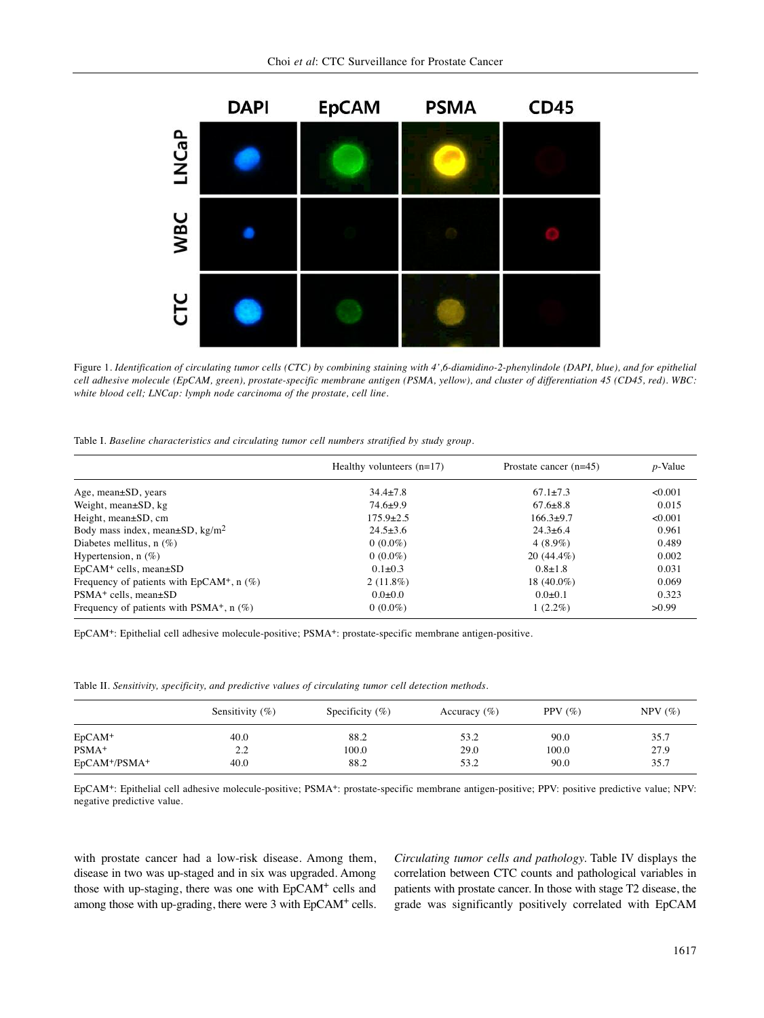

Figure 1. Identification of circulating tumor cells (CTC) by combining staining with 4',6-diamidino-2-phenylindole (DAPI, blue), and for epithelial cell adhesive molecule (EpCAM, green), prostate-specific membrane antigen (PSMA, yellow), and cluster of differentiation 45 (CD45, red). WBC: *white blood cell; LNCap: lymph node carcinoma of the prostate, cell line.*

Table I. *Baseline characteristics and circulating tumor cell numbers stratified by study group.*

|                                                   | Healthy volunteers $(n=17)$ | Prostate cancer $(n=45)$ | $p$ -Value |  |
|---------------------------------------------------|-----------------------------|--------------------------|------------|--|
| Age, mean $\pm SD$ , years                        | $34.4 \pm 7.8$              | $67.1 \pm 7.3$           | < 0.001    |  |
| Weight, mean $\pm SD$ , kg                        | $74.6+9.9$                  | $67.6 \pm 8.8$           | 0.015      |  |
| Height, $mean \pm SD$ , cm                        | $175.9 \pm 2.5$             | $166.3+9.7$              | < 0.001    |  |
| Body mass index, mean $\pm$ SD, kg/m <sup>2</sup> | $24.5 \pm 3.6$              | $24.3 \pm 6.4$           | 0.961      |  |
| Diabetes mellitus, $n$ (%)                        | $0(0.0\%)$                  | $4(8.9\%)$               | 0.489      |  |
| Hypertension, $n$ (%)                             | $0(0.0\%)$                  | $20(44.4\%)$             | 0.002      |  |
| $EpCAM+$ cells, mean $\pm SD$                     | $0.1 \pm 0.3$               | $0.8 \pm 1.8$            | 0.031      |  |
| Frequency of patients with $EpCAM^+$ , n $(\%)$   | $2(11.8\%)$                 | 18 $(40.0\%)$            | 0.069      |  |
| $PSMA+$ cells, mean $\pm SD$                      | $0.0 \pm 0.0$               | $0.0 \pm 0.1$            | 0.323      |  |
| Frequency of patients with $PSMA^+$ , n $(\%)$    | $0(0.0\%)$                  | $1(2.2\%)$               | >0.99      |  |

EpCAM+: Epithelial cell adhesive molecule-positive; PSMA+: prostate-specific membrane antigen-positive.

Table II. *Sensitivity, specificity, and predictive values of circulating tumor cell detection methods.*

|                | Sensitivity $(\%)$ | Specificity $(\% )$ | Accuracy $(\% )$ | PPV $(\% )$ | $NPV$ $(\% )$ |
|----------------|--------------------|---------------------|------------------|-------------|---------------|
| $EpCAM+$       | 40.0               | 88.2                | 53.2             | 90.0        | 35.7          |
| $PSMA+$        | 2.2                | 100.0               | 29.0             | 100.0       | 27.9          |
| $EpCAM+/PSMA+$ | 40.0               | 88.2                | 53.2             | 90.0        | 35.7          |

EpCAM+: Epithelial cell adhesive molecule-positive; PSMA+: prostate-specific membrane antigen-positive; PPV: positive predictive value; NPV: negative predictive value.

with prostate cancer had a low-risk disease. Among them, disease in two was up-staged and in six was upgraded. Among those with up-staging, there was one with EpCAM<sup>+</sup> cells and among those with up-grading, there were 3 with EpCAM<sup>+</sup> cells. *Circulating tumor cells and pathology.* Table IV displays the correlation between CTC counts and pathological variables in patients with prostate cancer. In those with stage T2 disease, the grade was significantly positively correlated with EpCAM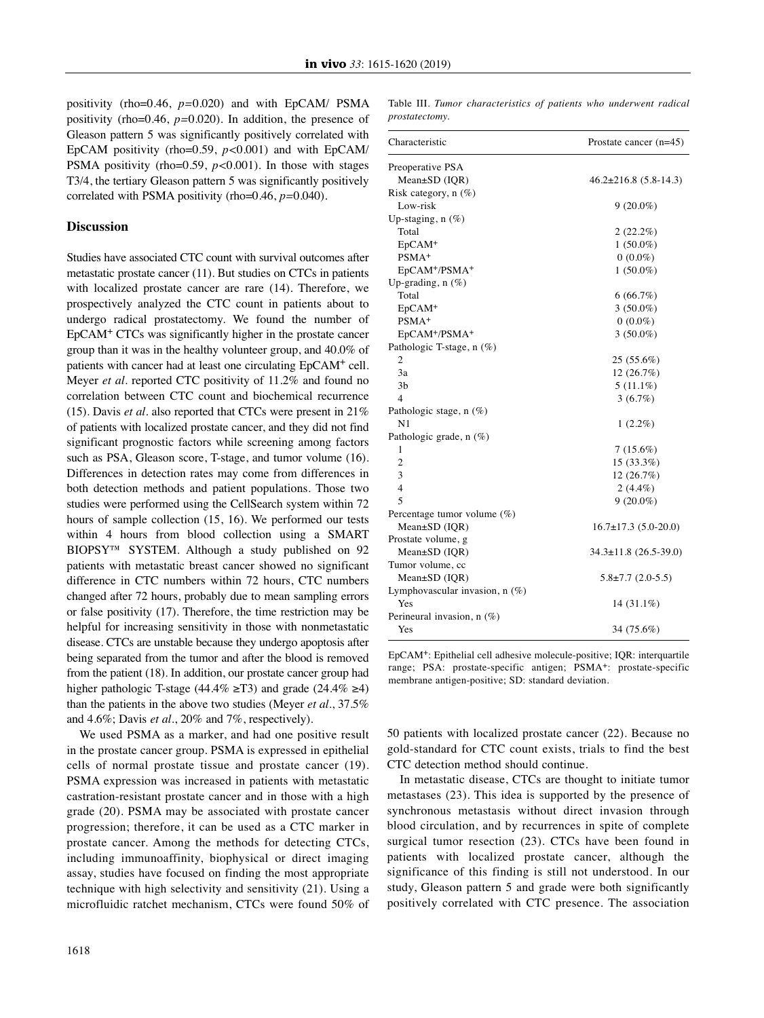positivity (rho=0.46, *p=*0.020) and with EpCAM/ PSMA positivity (rho=0.46, *p=*0.020). In addition, the presence of Gleason pattern 5 was significantly positively correlated with EpCAM positivity (rho=0.59, *p<*0.001) and with EpCAM/ PSMA positivity (rho=0.59, *p<*0.001). In those with stages T3/4, the tertiary Gleason pattern 5 was significantly positively correlated with PSMA positivity (rho=0.46, *p=*0.040).

### **Discussion**

Studies have associated CTC count with survival outcomes after metastatic prostate cancer (11). But studies on CTCs in patients with localized prostate cancer are rare (14). Therefore, we prospectively analyzed the CTC count in patients about to undergo radical prostatectomy. We found the number of EpCAM+ CTCs was significantly higher in the prostate cancer group than it was in the healthy volunteer group, and 40.0% of patients with cancer had at least one circulating EpCAM+ cell. Meyer *et al.* reported CTC positivity of 11.2% and found no correlation between CTC count and biochemical recurrence (15). Davis *et al.* also reported that CTCs were present in 21% of patients with localized prostate cancer, and they did not find significant prognostic factors while screening among factors such as PSA, Gleason score, T-stage, and tumor volume (16). Differences in detection rates may come from differences in both detection methods and patient populations. Those two studies were performed using the CellSearch system within 72 hours of sample collection (15, 16). We performed our tests within 4 hours from blood collection using a SMART BIOPSY™ SYSTEM. Although a study published on 92 patients with metastatic breast cancer showed no significant difference in CTC numbers within 72 hours, CTC numbers changed after 72 hours, probably due to mean sampling errors or false positivity (17). Therefore, the time restriction may be helpful for increasing sensitivity in those with nonmetastatic disease. CTCs are unstable because they undergo apoptosis after being separated from the tumor and after the blood is removed from the patient (18). In addition, our prostate cancer group had higher pathologic T-stage (44.4% ≥T3) and grade (24.4% ≥4) than the patients in the above two studies (Meyer *et al.*, 37.5% and 4.6%; Davis *et al.*, 20% and 7%, respectively).

We used PSMA as a marker, and had one positive result in the prostate cancer group. PSMA is expressed in epithelial cells of normal prostate tissue and prostate cancer (19). PSMA expression was increased in patients with metastatic castration-resistant prostate cancer and in those with a high grade (20). PSMA may be associated with prostate cancer progression; therefore, it can be used as a CTC marker in prostate cancer. Among the methods for detecting CTCs, including immunoaffinity, biophysical or direct imaging assay, studies have focused on finding the most appropriate technique with high selectivity and sensitivity (21). Using a microfluidic ratchet mechanism, CTCs were found 50% of Table III. *Tumor characteristics of patients who underwent radical prostatectomy.*

| Characteristic                        | Prostate cancer $(n=45)$    |  |  |
|---------------------------------------|-----------------------------|--|--|
| Preoperative PSA                      |                             |  |  |
| $Mean \pm SD$ (IQR)                   | $46.2 \pm 216.8$ (5.8-14.3) |  |  |
| Risk category, $n$ (%)                |                             |  |  |
| Low-risk                              | $9(20.0\%)$                 |  |  |
| Up-staging, $n$ $(\%)$                |                             |  |  |
| Total                                 | 2(22.2%)                    |  |  |
| EpCAM <sup>+</sup>                    | $1(50.0\%)$                 |  |  |
| PSMA <sup>+</sup>                     | $0(0.0\%)$                  |  |  |
| EpCAM <sup>+</sup> /PSMA <sup>+</sup> | $1(50.0\%)$                 |  |  |
| Up-grading, n (%)                     |                             |  |  |
| Total                                 | 6(66.7%)                    |  |  |
| $EpCAM+$                              | $3(50.0\%)$                 |  |  |
| PSMA <sup>+</sup>                     | $0(0.0\%)$                  |  |  |
| EpCAM <sup>+</sup> /PSMA <sup>+</sup> | $3(50.0\%)$                 |  |  |
| Pathologic T-stage, n (%)             |                             |  |  |
| $\overline{\mathbf{c}}$               | 25 (55.6%)                  |  |  |
| 3a                                    | 12(26.7%)                   |  |  |
| 3 <sub>b</sub>                        | $5(11.1\%)$                 |  |  |
| $\overline{4}$                        | 3(6.7%)                     |  |  |
| Pathologic stage, n (%)               |                             |  |  |
| N <sub>1</sub>                        | $1(2.2\%)$                  |  |  |
| Pathologic grade, n (%)               |                             |  |  |
| 1                                     | $7(15.6\%)$                 |  |  |
| $\overline{c}$                        | 15 (33.3%)                  |  |  |
| 3                                     | 12 (26.7%)                  |  |  |
| $\overline{4}$                        | $2(4.4\%)$                  |  |  |
| 5                                     | $9(20.0\%)$                 |  |  |
| Percentage tumor volume $(\%)$        |                             |  |  |
| $Mean \pm SD$ (IQR)                   | $16.7\pm17.3(5.0-20.0)$     |  |  |
| Prostate volume, g                    |                             |  |  |
| $Mean \pm SD$ (IQR)                   | $34.3 \pm 11.8$ (26.5-39.0) |  |  |
| Tumor volume, cc                      |                             |  |  |
| Mean±SD (IQR)                         | $5.8 \pm 7.7$ (2.0-5.5)     |  |  |
| Lymphovascular invasion, $n$ (%)      |                             |  |  |
| Yes                                   | $14(31.1\%)$                |  |  |
| Perineural invasion, $n$ (%)          |                             |  |  |
| Yes                                   | 34 (75.6%)                  |  |  |

EpCAM+: Epithelial cell adhesive molecule-positive; IQR: interquartile range; PSA: prostate-specific antigen; PSMA+: prostate-specific membrane antigen-positive; SD: standard deviation.

50 patients with localized prostate cancer (22). Because no gold-standard for CTC count exists, trials to find the best CTC detection method should continue.

In metastatic disease, CTCs are thought to initiate tumor metastases (23). This idea is supported by the presence of synchronous metastasis without direct invasion through blood circulation, and by recurrences in spite of complete surgical tumor resection (23). CTCs have been found in patients with localized prostate cancer, although the significance of this finding is still not understood. In our study, Gleason pattern 5 and grade were both significantly positively correlated with CTC presence. The association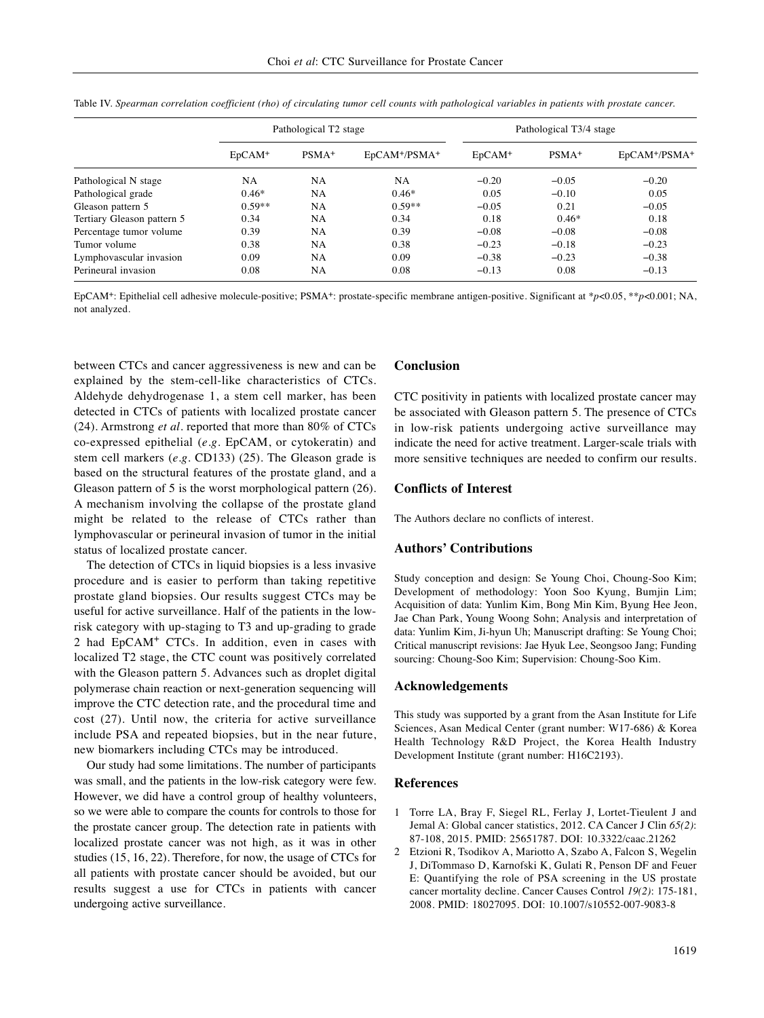|                            | Pathological T <sub>2</sub> stage |                   |                                       | Pathological T3/4 stage |         |                                       |
|----------------------------|-----------------------------------|-------------------|---------------------------------------|-------------------------|---------|---------------------------------------|
|                            | $EpCAM+$                          | PSMA <sup>+</sup> | EpCAM <sup>+</sup> /PSMA <sup>+</sup> | $EpCAM+$                | $PSMA+$ | EpCAM <sup>+</sup> /PSMA <sup>+</sup> |
| Pathological N stage       | <b>NA</b>                         | <b>NA</b>         | <b>NA</b>                             | $-0.20$                 | $-0.05$ | $-0.20$                               |
| Pathological grade         | $0.46*$                           | <b>NA</b>         | $0.46*$                               | 0.05                    | $-0.10$ | 0.05                                  |
| Gleason pattern 5          | $0.59**$                          | <b>NA</b>         | $0.59**$                              | $-0.05$                 | 0.21    | $-0.05$                               |
| Tertiary Gleason pattern 5 | 0.34                              | <b>NA</b>         | 0.34                                  | 0.18                    | $0.46*$ | 0.18                                  |
| Percentage tumor volume    | 0.39                              | <b>NA</b>         | 0.39                                  | $-0.08$                 | $-0.08$ | $-0.08$                               |
| Tumor volume               | 0.38                              | <b>NA</b>         | 0.38                                  | $-0.23$                 | $-0.18$ | $-0.23$                               |
| Lymphovascular invasion    | 0.09                              | <b>NA</b>         | 0.09                                  | $-0.38$                 | $-0.23$ | $-0.38$                               |
| Perineural invasion        | 0.08                              | <b>NA</b>         | 0.08                                  | $-0.13$                 | 0.08    | $-0.13$                               |

Table IV. Spearman correlation coefficient (rho) of circulating tumor cell counts with pathological variables in patients with prostate cancer.

EpCAM+: Epithelial cell adhesive molecule-positive; PSMA+: prostate-specific membrane antigen-positive. Significant at \**p*<0.05, \*\**p*<0.001; NA, not analyzed.

between CTCs and cancer aggressiveness is new and can be explained by the stem-cell-like characteristics of CTCs. Aldehyde dehydrogenase 1, a stem cell marker, has been detected in CTCs of patients with localized prostate cancer (24). Armstrong *et al.* reported that more than 80% of CTCs co-expressed epithelial (*e.g.* EpCAM, or cytokeratin) and stem cell markers (*e.g.* CD133) (25). The Gleason grade is based on the structural features of the prostate gland, and a Gleason pattern of 5 is the worst morphological pattern (26). A mechanism involving the collapse of the prostate gland might be related to the release of CTCs rather than lymphovascular or perineural invasion of tumor in the initial status of localized prostate cancer.

The detection of CTCs in liquid biopsies is a less invasive procedure and is easier to perform than taking repetitive prostate gland biopsies. Our results suggest CTCs may be useful for active surveillance. Half of the patients in the lowrisk category with up-staging to T3 and up-grading to grade 2 had EpCAM<sup>+</sup> CTCs. In addition, even in cases with localized T2 stage, the CTC count was positively correlated with the Gleason pattern 5. Advances such as droplet digital polymerase chain reaction or next-generation sequencing will improve the CTC detection rate, and the procedural time and cost (27). Until now, the criteria for active surveillance include PSA and repeated biopsies, but in the near future, new biomarkers including CTCs may be introduced.

Our study had some limitations. The number of participants was small, and the patients in the low-risk category were few. However, we did have a control group of healthy volunteers, so we were able to compare the counts for controls to those for the prostate cancer group. The detection rate in patients with localized prostate cancer was not high, as it was in other studies (15, 16, 22). Therefore, for now, the usage of CTCs for all patients with prostate cancer should be avoided, but our results suggest a use for CTCs in patients with cancer undergoing active surveillance.

#### **Conclusion**

CTC positivity in patients with localized prostate cancer may be associated with Gleason pattern 5. The presence of CTCs in low-risk patients undergoing active surveillance may indicate the need for active treatment. Larger-scale trials with more sensitive techniques are needed to confirm our results.

#### **Conflicts of Interest**

The Authors declare no conflicts of interest.

## **Authors' Contributions**

Study conception and design: Se Young Choi, Choung-Soo Kim; Development of methodology: Yoon Soo Kyung, Bumjin Lim; Acquisition of data: Yunlim Kim, Bong Min Kim, Byung Hee Jeon, Jae Chan Park, Young Woong Sohn; Analysis and interpretation of data: Yunlim Kim, Ji-hyun Uh; Manuscript drafting: Se Young Choi; Critical manuscript revisions: Jae Hyuk Lee, Seongsoo Jang; Funding sourcing: Choung-Soo Kim; Supervision: Choung-Soo Kim.

### **Acknowledgements**

This study was supported by a grant from the Asan Institute for Life Sciences, Asan Medical Center (grant number: W17-686) & Korea Health Technology R&D Project, the Korea Health Industry Development Institute (grant number: H16C2193).

#### **References**

- 1 Torre LA, Bray F, Siegel RL, Ferlay J, Lortet-Tieulent J and Jemal A: Global cancer statistics, 2012. CA Cancer J Clin *65(2)*: 87-108, 2015. PMID: 25651787. DOI: 10.3322/caac.21262
- 2 Etzioni R, Tsodikov A, Mariotto A, Szabo A, Falcon S, Wegelin J, DiTommaso D, Karnofski K, Gulati R, Penson DF and Feuer E: Quantifying the role of PSA screening in the US prostate cancer mortality decline. Cancer Causes Control *19(2)*: 175-181, 2008. PMID: 18027095. DOI: 10.1007/s10552-007-9083-8